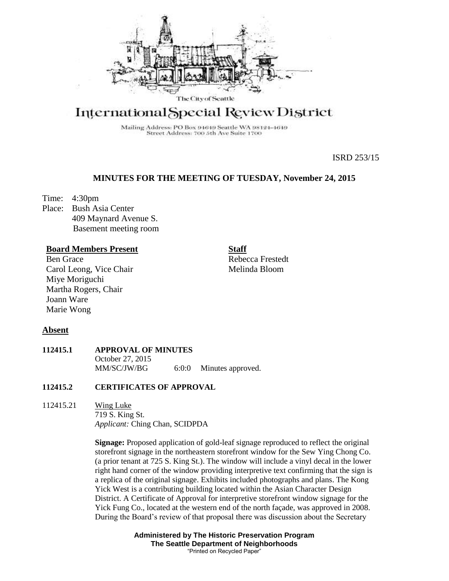

# International Special Review District

Mailing Address: PO Box 94649 Seattle WA 98124-4649 Street Address: 700 5th Ave Suite 1700

ISRD 253/15

## **MINUTES FOR THE MEETING OF TUESDAY, November 24, 2015**

Time: 4:30pm

Place: Bush Asia Center 409 Maynard Avenue S. Basement meeting room

## **Board Members Present**

Ben Grace Carol Leong, Vice Chair Miye Moriguchi Martha Rogers, Chair Joann Ware Marie Wong

**Staff** Rebecca Frestedt Melinda Bloom

## **Absent**

## **112415.1 APPROVAL OF MINUTES** October 27, 2015 MM/SC/JW/BG 6:0:0 Minutes approved.

## **112415.2 CERTIFICATES OF APPROVAL**

112415.21 Wing Luke 719 S. King St. *Applicant:* Ching Chan, SCIDPDA

> **Signage:** Proposed application of gold-leaf signage reproduced to reflect the original storefront signage in the northeastern storefront window for the Sew Ying Chong Co. (a prior tenant at 725 S. King St.). The window will include a vinyl decal in the lower right hand corner of the window providing interpretive text confirming that the sign is a replica of the original signage. Exhibits included photographs and plans. The Kong Yick West is a contributing building located within the Asian Character Design District. A Certificate of Approval for interpretive storefront window signage for the Yick Fung Co., located at the western end of the north façade, was approved in 2008. During the Board's review of that proposal there was discussion about the Secretary

> > **Administered by The Historic Preservation Program The Seattle Department of Neighborhoods** "Printed on Recycled Paper"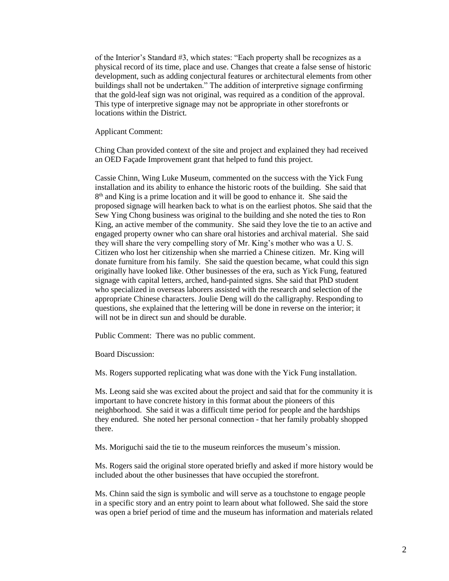of the Interior's Standard #3, which states: "Each property shall be recognizes as a physical record of its time, place and use. Changes that create a false sense of historic development, such as adding conjectural features or architectural elements from other buildings shall not be undertaken." The addition of interpretive signage confirming that the gold-leaf sign was not original, was required as a condition of the approval. This type of interpretive signage may not be appropriate in other storefronts or locations within the District.

Applicant Comment:

Ching Chan provided context of the site and project and explained they had received an OED Façade Improvement grant that helped to fund this project.

Cassie Chinn, Wing Luke Museum, commented on the success with the Yick Fung installation and its ability to enhance the historic roots of the building. She said that 8<sup>th</sup> and King is a prime location and it will be good to enhance it. She said the proposed signage will hearken back to what is on the earliest photos. She said that the Sew Ying Chong business was original to the building and she noted the ties to Ron King, an active member of the community. She said they love the tie to an active and engaged property owner who can share oral histories and archival material. She said they will share the very compelling story of Mr. King's mother who was a U. S. Citizen who lost her citizenship when she married a Chinese citizen. Mr. King will donate furniture from his family. She said the question became, what could this sign originally have looked like. Other businesses of the era, such as Yick Fung, featured signage with capital letters, arched, hand-painted signs. She said that PhD student who specialized in overseas laborers assisted with the research and selection of the appropriate Chinese characters. Joulie Deng will do the calligraphy. Responding to questions, she explained that the lettering will be done in reverse on the interior; it will not be in direct sun and should be durable.

Public Comment: There was no public comment.

Board Discussion:

Ms. Rogers supported replicating what was done with the Yick Fung installation.

Ms. Leong said she was excited about the project and said that for the community it is important to have concrete history in this format about the pioneers of this neighborhood. She said it was a difficult time period for people and the hardships they endured. She noted her personal connection - that her family probably shopped there.

Ms. Moriguchi said the tie to the museum reinforces the museum's mission.

Ms. Rogers said the original store operated briefly and asked if more history would be included about the other businesses that have occupied the storefront.

Ms. Chinn said the sign is symbolic and will serve as a touchstone to engage people in a specific story and an entry point to learn about what followed. She said the store was open a brief period of time and the museum has information and materials related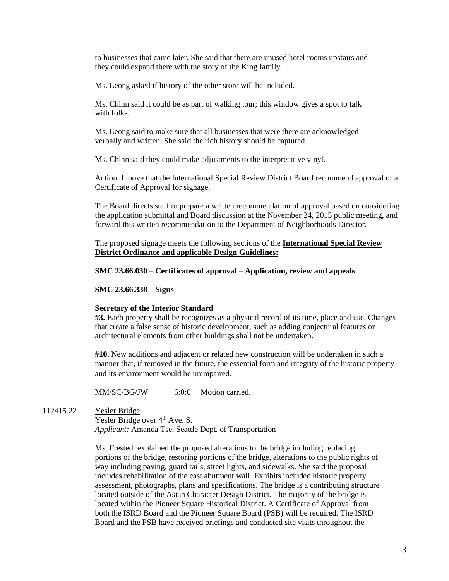to businesses that came later. She said that there are unused hotel rooms upstairs and they could expand there with the story of the King family.

Ms. Leong asked if history of the other store will be included.

Ms. Chinn said it could be as part of walking tour; this window gives a spot to talk with folks.

Ms. Leong said to make sure that all businesses that were there are acknowledged verbally and written. She said the rich history should be captured.

Ms. Chinn said they could make adjustments to the interpretative vinyl.

Action: I move that the International Special Review District Board recommend approval of a Certificate of Approval for signage.

The Board directs staff to prepare a written recommendation of approval based on considering the application submittal and Board discussion at the November 24, 2015 public meeting, and forward this written recommendation to the Department of Neighborhoods Director.

The proposed signage meets the following sections of the **International Special Review District Ordinance and** a**pplicable Design Guidelines:**

## **SMC 23.66.030 – Certificates of approval – Application, review and appeals**

**SMC 23.66.338 – Signs**

#### **Secretary of the Interior Standard**

**#3.** Each property shall be recognizes as a physical record of its time, place and use. Changes that create a false sense of historic development, such as adding conjectural features or architectural elements from other buildings shall not be undertaken.

**#10.** New additions and adjacent or related new construction will be undertaken in such a manner that, if removed in the future, the essential form and integrity of the historic property and its environment would be unimpaired.

MM/SC/BG/JW 6:0:0 Motion carried.

112415.22 Yesler Bridge

Yesler Bridge over 4<sup>th</sup> Ave. S. *Applicant:* Amanda Tse, Seattle Dept. of Transportation

Ms. Frestedt explained the proposed alterations to the bridge including replacing portions of the bridge, restoring portions of the bridge, alterations to the public rights of way including paving, guard rails, street lights, and sidewalks. She said the proposal includes rehabilitation of the east abutment wall. Exhibits included historic property assessment, photographs, plans and specifications. The bridge is a contributing structure located outside of the Asian Character Design District. The majority of the bridge is located within the Pioneer Square Historical District. A Certificate of Approval from both the ISRD Board and the Pioneer Square Board (PSB) will be required. The ISRD Board and the PSB have received briefings and conducted site visits throughout the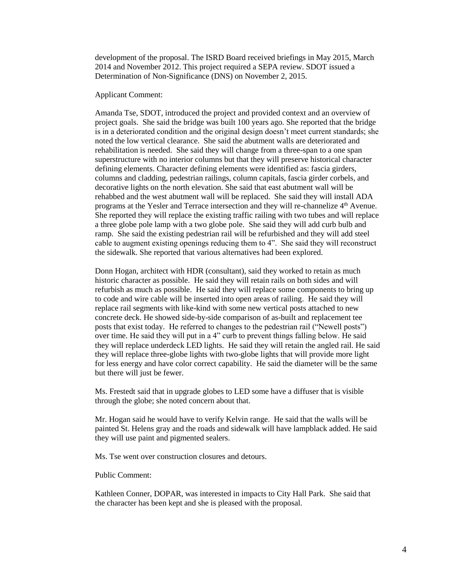development of the proposal. The ISRD Board received briefings in May 2015, March 2014 and November 2012. This project required a SEPA review. SDOT issued a Determination of Non-Significance (DNS) on November 2, 2015.

Applicant Comment:

Amanda Tse, SDOT, introduced the project and provided context and an overview of project goals. She said the bridge was built 100 years ago. She reported that the bridge is in a deteriorated condition and the original design doesn't meet current standards; she noted the low vertical clearance. She said the abutment walls are deteriorated and rehabilitation is needed. She said they will change from a three-span to a one span superstructure with no interior columns but that they will preserve historical character defining elements. Character defining elements were identified as: fascia girders, columns and cladding, pedestrian railings, column capitals, fascia girder corbels, and decorative lights on the north elevation. She said that east abutment wall will be rehabbed and the west abutment wall will be replaced. She said they will install ADA programs at the Yesler and Terrace intersection and they will re-channelize 4<sup>th</sup> Avenue. She reported they will replace the existing traffic railing with two tubes and will replace a three globe pole lamp with a two globe pole. She said they will add curb bulb and ramp. She said the existing pedestrian rail will be refurbished and they will add steel cable to augment existing openings reducing them to 4". She said they will reconstruct the sidewalk. She reported that various alternatives had been explored.

Donn Hogan, architect with HDR (consultant), said they worked to retain as much historic character as possible. He said they will retain rails on both sides and will refurbish as much as possible. He said they will replace some components to bring up to code and wire cable will be inserted into open areas of railing. He said they will replace rail segments with like-kind with some new vertical posts attached to new concrete deck. He showed side-by-side comparison of as-built and replacement tee posts that exist today. He referred to changes to the pedestrian rail ("Newell posts") over time. He said they will put in a 4" curb to prevent things falling below. He said they will replace underdeck LED lights. He said they will retain the angled rail. He said they will replace three-globe lights with two-globe lights that will provide more light for less energy and have color correct capability. He said the diameter will be the same but there will just be fewer.

Ms. Frestedt said that in upgrade globes to LED some have a diffuser that is visible through the globe; she noted concern about that.

Mr. Hogan said he would have to verify Kelvin range. He said that the walls will be painted St. Helens gray and the roads and sidewalk will have lampblack added. He said they will use paint and pigmented sealers.

Ms. Tse went over construction closures and detours.

Public Comment:

Kathleen Conner, DOPAR, was interested in impacts to City Hall Park. She said that the character has been kept and she is pleased with the proposal.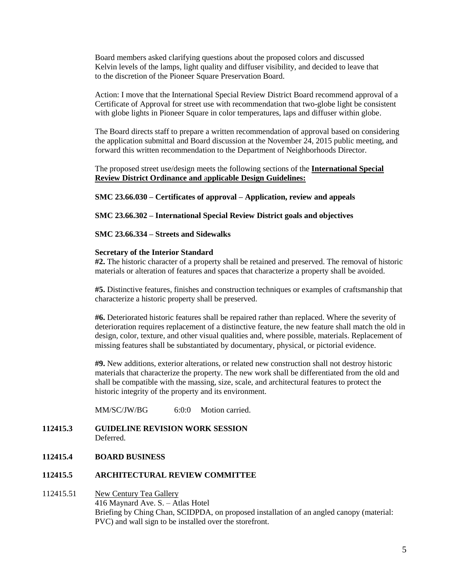Board members asked clarifying questions about the proposed colors and discussed Kelvin levels of the lamps, light quality and diffuser visibility, and decided to leave that to the discretion of the Pioneer Square Preservation Board.

Action: I move that the International Special Review District Board recommend approval of a Certificate of Approval for street use with recommendation that two-globe light be consistent with globe lights in Pioneer Square in color temperatures, laps and diffuser within globe.

The Board directs staff to prepare a written recommendation of approval based on considering the application submittal and Board discussion at the November 24, 2015 public meeting, and forward this written recommendation to the Department of Neighborhoods Director.

The proposed street use/design meets the following sections of the **International Special Review District Ordinance and** a**pplicable Design Guidelines:**

**SMC 23.66.030 – Certificates of approval – Application, review and appeals**

**SMC 23.66.302 – International Special Review District goals and objectives**

**SMC 23.66.334 – Streets and Sidewalks**

#### **Secretary of the Interior Standard**

**#2.** The historic character of a property shall be retained and preserved. The removal of historic materials or alteration of features and spaces that characterize a property shall be avoided.

**#5.** Distinctive features, finishes and construction techniques or examples of craftsmanship that characterize a historic property shall be preserved.

**#6.** Deteriorated historic features shall be repaired rather than replaced. Where the severity of deterioration requires replacement of a distinctive feature, the new feature shall match the old in design, color, texture, and other visual qualities and, where possible, materials. Replacement of missing features shall be substantiated by documentary, physical, or pictorial evidence.

**#9.** New additions, exterior alterations, or related new construction shall not destroy historic materials that characterize the property. The new work shall be differentiated from the old and shall be compatible with the massing, size, scale, and architectural features to protect the historic integrity of the property and its environment.

MM/SC/JW/BG 6:0:0 Motion carried.

## **112415.3 GUIDELINE REVISION WORK SESSION** Deferred.

## **112415.4 BOARD BUSINESS**

#### **112415.5 ARCHITECTURAL REVIEW COMMITTEE**

112415.51 New Century Tea Gallery 416 Maynard Ave. S. – Atlas Hotel Briefing by Ching Chan, SCIDPDA, on proposed installation of an angled canopy (material: PVC) and wall sign to be installed over the storefront.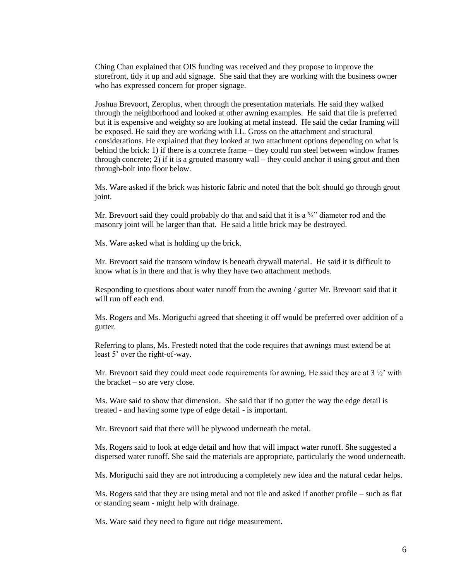Ching Chan explained that OIS funding was received and they propose to improve the storefront, tidy it up and add signage. She said that they are working with the business owner who has expressed concern for proper signage.

Joshua Brevoort, Zeroplus, when through the presentation materials. He said they walked through the neighborhood and looked at other awning examples. He said that tile is preferred but it is expensive and weighty so are looking at metal instead. He said the cedar framing will be exposed. He said they are working with I.L. Gross on the attachment and structural considerations. He explained that they looked at two attachment options depending on what is behind the brick: 1) if there is a concrete frame – they could run steel between window frames through concrete; 2) if it is a grouted masonry wall – they could anchor it using grout and then through-bolt into floor below.

Ms. Ware asked if the brick was historic fabric and noted that the bolt should go through grout joint.

Mr. Brevoort said they could probably do that and said that it is a  $\frac{3}{4}$  diameter rod and the masonry joint will be larger than that. He said a little brick may be destroyed.

Ms. Ware asked what is holding up the brick.

Mr. Brevoort said the transom window is beneath drywall material. He said it is difficult to know what is in there and that is why they have two attachment methods.

Responding to questions about water runoff from the awning / gutter Mr. Brevoort said that it will run off each end.

Ms. Rogers and Ms. Moriguchi agreed that sheeting it off would be preferred over addition of a gutter.

Referring to plans, Ms. Frestedt noted that the code requires that awnings must extend be at least 5' over the right-of-way.

Mr. Brevoort said they could meet code requirements for awning. He said they are at  $3\frac{1}{2}$  with the bracket – so are very close.

Ms. Ware said to show that dimension. She said that if no gutter the way the edge detail is treated - and having some type of edge detail - is important.

Mr. Brevoort said that there will be plywood underneath the metal.

Ms. Rogers said to look at edge detail and how that will impact water runoff. She suggested a dispersed water runoff. She said the materials are appropriate, particularly the wood underneath.

Ms. Moriguchi said they are not introducing a completely new idea and the natural cedar helps.

Ms. Rogers said that they are using metal and not tile and asked if another profile – such as flat or standing seam - might help with drainage.

Ms. Ware said they need to figure out ridge measurement.